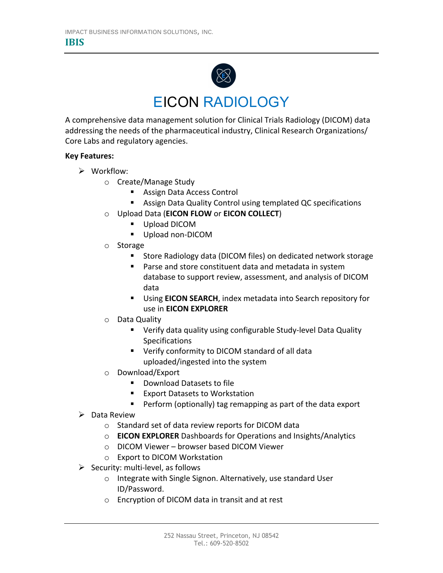

## EICON RADIOLOGY

A comprehensive data management solution for Clinical Trials Radiology (DICOM) data addressing the needs of the pharmaceutical industry, Clinical Research Organizations/ Core Labs and regulatory agencies.

## **Key Features:**

- $\triangleright$  Workflow:
	- o Create/Manage Study
		- Assign Data Access Control
		- Assign Data Quality Control using templated QC specifications
	- o Upload Data (**EICON FLOW** or **EICON COLLECT**)
		- Upload DICOM
		- Upload non-DICOM
	- o Storage
		- Store Radiology data (DICOM files) on dedicated network storage
		- Parse and store constituent data and metadata in system database to support review, assessment, and analysis of DICOM data
		- Using **EICON SEARCH**, index metadata into Search repository for use in **EICON EXPLORER**
	- o Data Quality
		- Verify data quality using configurable Study-level Data Quality Specifications
		- Verify conformity to DICOM standard of all data uploaded/ingested into the system
	- o Download/Export
		- Download Datasets to file
		- Export Datasets to Workstation
		- Perform (optionally) tag remapping as part of the data export
- $\triangleright$  Data Review
	- o Standard set of data review reports for DICOM data
	- o **EICON EXPLORER** Dashboards for Operations and Insights/Analytics
	- o DICOM Viewer browser based DICOM Viewer
	- o Export to DICOM Workstation
- $\triangleright$  Security: multi-level, as follows
	- o Integrate with Single Signon. Alternatively, use standard User ID/Password.
	- o Encryption of DICOM data in transit and at rest